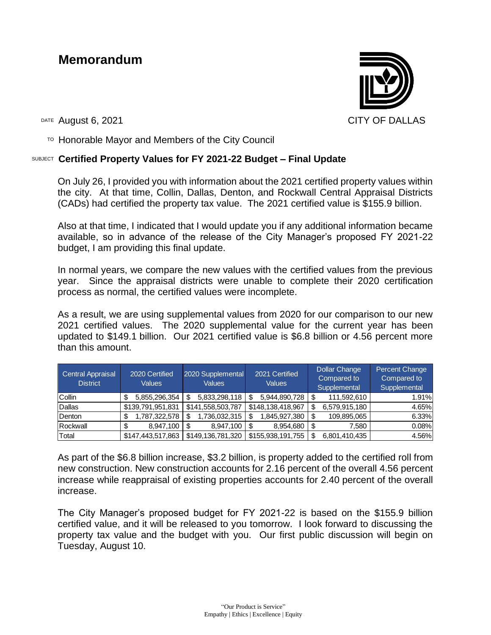## **Memorandum**



DATE August 6, 2021 CITY OF DALLAS

 $T$ <sup>O</sup> Honorable Mayor and Members of the City Council

## SUBJECT **Certified Property Values for FY 2021-22 Budget – Final Update**

On July 26, I provided you with information about the 2021 certified property values within the city. At that time, Collin, Dallas, Denton, and Rockwall Central Appraisal Districts (CADs) had certified the property tax value. The 2021 certified value is \$155.9 billion.

Also at that time, I indicated that I would update you if any additional information became available, so in advance of the release of the City Manager's proposed FY 2021-22 budget, I am providing this final update.

In normal years, we compare the new values with the certified values from the previous year. Since the appraisal districts were unable to complete their 2020 certification process as normal, the certified values were incomplete.

As a result, we are using supplemental values from 2020 for our comparison to our new 2021 certified values. The 2020 supplemental value for the current year has been updated to \$149.1 billion. Our 2021 certified value is \$6.8 billion or 4.56 percent more than this amount.

| Central Appraisal<br><b>District</b> | 2020 Certified<br>Values | 2020 Supplemental<br><b>Values</b> | 2021 Certified<br><b>Values</b> | <b>Dollar Change</b><br>Compared to<br>Supplemental | Percent Change<br>Compared to<br>Supplemental |
|--------------------------------------|--------------------------|------------------------------------|---------------------------------|-----------------------------------------------------|-----------------------------------------------|
| <b>Collin</b>                        | 5,855,296,354            | 5,833,298,118                      | 5,944,890,728                   | 111,592,610                                         | 1.91%                                         |
| Dallas                               | \$139,791,951,831        | \$141,558,503,787                  | \$148,138,418,967               | 6,579,915,180                                       | 4.65%                                         |
| Denton                               | 1,787,322,578            | 1,736,032,315                      | 1,845,927,380                   | 109,895,065                                         | 6.33%                                         |
| Rockwall                             | 8,947,100                | 8,947,100                          | 8,954,680                       | 7.580                                               | 0.08%                                         |
| Total                                | \$147,443,517,863        | \$149,136,781,320                  | \$155,938,191,755               | 6.801.410.435                                       | 4.56%                                         |

As part of the \$6.8 billion increase, \$3.2 billion, is property added to the certified roll from new construction. New construction accounts for 2.16 percent of the overall 4.56 percent increase while reappraisal of existing properties accounts for 2.40 percent of the overall increase.

The City Manager's proposed budget for FY 2021-22 is based on the \$155.9 billion certified value, and it will be released to you tomorrow. I look forward to discussing the property tax value and the budget with you. Our first public discussion will begin on Tuesday, August 10.